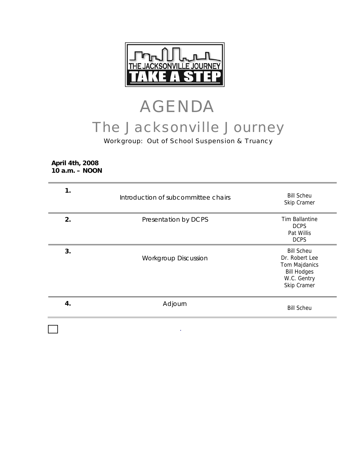

# AGENDA The Jacksonville Journey

## Workgroup: Out of School Suspension & Truancy

**April 4th, 2008 10 a.m. – NOON** 

| 1. | Introduction of subcommittee chairs | <b>Bill Scheu</b><br>Skip Cramer                                                                         |
|----|-------------------------------------|----------------------------------------------------------------------------------------------------------|
| 2. | Presentation by DCPS                | <b>Tim Ballantine</b><br><b>DCPS</b><br>Pat Willis<br><b>DCPS</b>                                        |
| 3. | <b>Workgroup Discussion</b>         | <b>Bill Scheu</b><br>Dr. Robert Lee<br>Tom Majdanics<br><b>Bill Hodges</b><br>W.C. Gentry<br>Skip Cramer |
| 4. | Adjourn                             | <b>Bill Scheu</b>                                                                                        |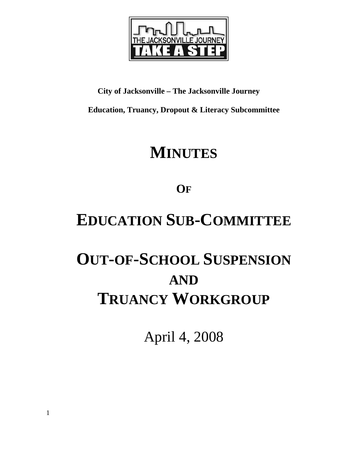

# **City of Jacksonville – The Jacksonville Journey**

**Education, Truancy, Dropout & Literacy Subcommittee** 

# **MINUTES**

**OF**

# **EDUCATION SUB-COMMITTEE**

# **OUT-OF-SCHOOL SUSPENSION AND TRUANCY WORKGROUP**

April 4, 2008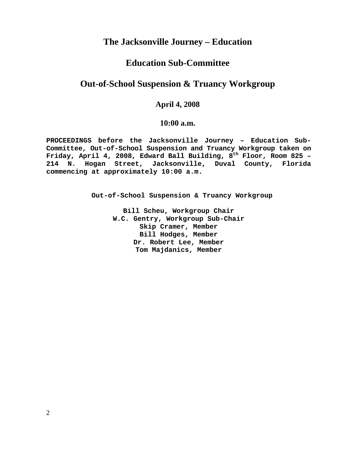## **The Jacksonville Journey – Education**

## **Education Sub-Committee**

## **Out-of-School Suspension & Truancy Workgroup**

## **April 4, 2008**

### **10:00 a.m.**

**PROCEEDINGS before the Jacksonville Journey – Education Sub-Committee, Out-of-School Suspension and Truancy Workgroup taken on**  Friday, April 4, 2008, Edward Ball Building, 8<sup>th</sup> Floor, Room 825 -**214 N. Hogan Street, Jacksonville, Duval County, Florida commencing at approximately 10:00 a.m.** 

 **Out-of-School Suspension & Truancy Workgroup** 

**Bill Scheu, Workgroup Chair W.C. Gentry, Workgroup Sub-Chair Skip Cramer, Member Bill Hodges, Member Dr. Robert Lee, Member Tom Majdanics, Member**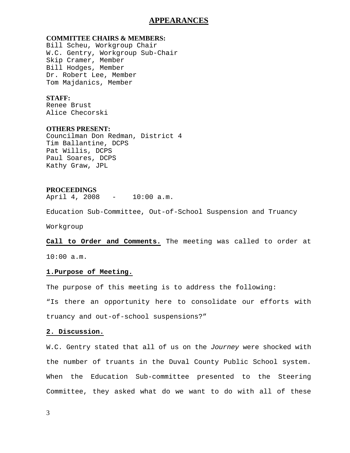### **APPEARANCES**

#### **COMMITTEE CHAIRS & MEMBERS:**

Bill Scheu, Workgroup Chair W.C. Gentry, Workgroup Sub-Chair Skip Cramer, Member Bill Hodges, Member Dr. Robert Lee, Member Tom Majdanics, Member

### **STAFF:**

Renee Brust Alice Checorski

### **OTHERS PRESENT:**

Councilman Don Redman, District 4 Tim Ballantine, DCPS Pat Willis, DCPS Paul Soares, DCPS Kathy Graw, JPL

#### **PROCEEDINGS**

April 4, 2008 - 10:00 a.m.

Education Sub-Committee, Out-of-School Suspension and Truancy

Workgroup

**Call to Order and Comments.** The meeting was called to order at

10:00 a.m.

#### **1.Purpose of Meeting.**

The purpose of this meeting is to address the following:

"Is there an opportunity here to consolidate our efforts with truancy and out-of-school suspensions?"

### **2. Discussion.**

W.C. Gentry stated that all of us on the *Journey* were shocked with the number of truants in the Duval County Public School system. When the Education Sub-committee presented to the Steering Committee, they asked what do we want to do with all of these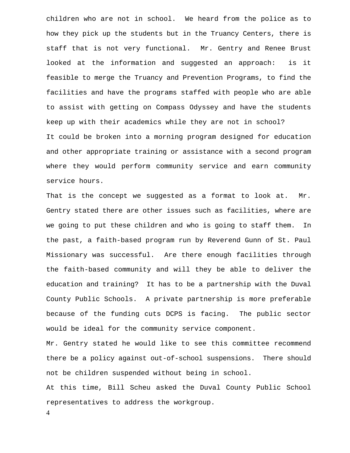children who are not in school. We heard from the police as to how they pick up the students but in the Truancy Centers, there is staff that is not very functional. Mr. Gentry and Renee Brust looked at the information and suggested an approach: is it feasible to merge the Truancy and Prevention Programs, to find the facilities and have the programs staffed with people who are able to assist with getting on Compass Odyssey and have the students keep up with their academics while they are not in school? It could be broken into a morning program designed for education and other appropriate training or assistance with a second program where they would perform community service and earn community service hours.

That is the concept we suggested as a format to look at. Mr. Gentry stated there are other issues such as facilities, where are we going to put these children and who is going to staff them. In the past, a faith-based program run by Reverend Gunn of St. Paul Missionary was successful. Are there enough facilities through the faith-based community and will they be able to deliver the education and training? It has to be a partnership with the Duval County Public Schools. A private partnership is more preferable because of the funding cuts DCPS is facing. The public sector would be ideal for the community service component.

Mr. Gentry stated he would like to see this committee recommend there be a policy against out-of-school suspensions. There should not be children suspended without being in school.

At this time, Bill Scheu asked the Duval County Public School representatives to address the workgroup.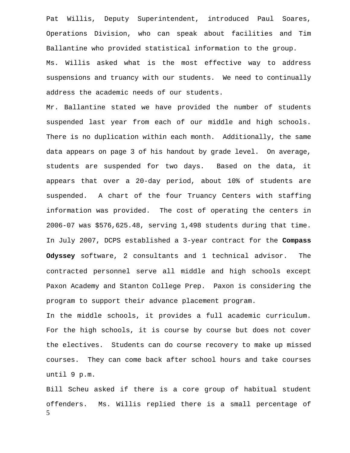Pat Willis, Deputy Superintendent, introduced Paul Soares, Operations Division, who can speak about facilities and Tim Ballantine who provided statistical information to the group. Ms. Willis asked what is the most effective way to address suspensions and truancy with our students. We need to continually address the academic needs of our students.

Mr. Ballantine stated we have provided the number of students suspended last year from each of our middle and high schools. There is no duplication within each month. Additionally, the same data appears on page 3 of his handout by grade level. On average, students are suspended for two days. Based on the data, it appears that over a 20-day period, about 10% of students are suspended. A chart of the four Truancy Centers with staffing information was provided. The cost of operating the centers in 2006-07 was \$576,625.48, serving 1,498 students during that time. In July 2007, DCPS established a 3-year contract for the **Compass Odyssey** software, 2 consultants and 1 technical advisor. The contracted personnel serve all middle and high schools except Paxon Academy and Stanton College Prep. Paxon is considering the program to support their advance placement program.

In the middle schools, it provides a full academic curriculum. For the high schools, it is course by course but does not cover the electives. Students can do course recovery to make up missed courses. They can come back after school hours and take courses until 9 p.m.

5 Bill Scheu asked if there is a core group of habitual student offenders. Ms. Willis replied there is a small percentage of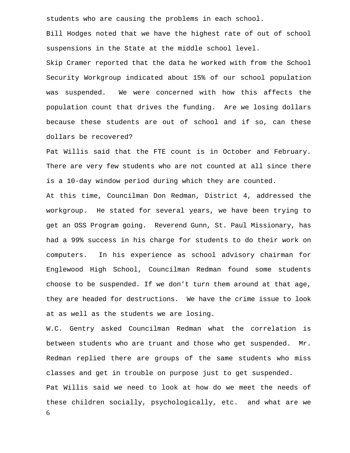students who are causing the problems in each school.

Bill Hodges noted that we have the highest rate of out of school suspensions in the State at the middle school level.

Skip Cramer reported that the data he worked with from the School Security Workgroup indicated about 15% of our school population was suspended. We were concerned with how this affects the population count that drives the funding. Are we losing dollars because these students are out of school and if so, can these dollars be recovered?

Pat Willis said that the FTE count is in October and February. There are very few students who are not counted at all since there is a 10-day window period during which they are counted.

At this time, Councilman Don Redman, District 4, addressed the workgroup. He stated for several years, we have been trying to get an OSS Program going. Reverend Gunn, St. Paul Missionary, has had a 99% success in his charge for students to do their work on computers. In his experience as school advisory chairman for Englewood High School, Councilman Redman found some students choose to be suspended. If we don't turn them around at that age, they are headed for destructions. We have the crime issue to look at as well as the students we are losing.

6 W.C. Gentry asked Councilman Redman what the correlation is between students who are truant and those who get suspended. Mr. Redman replied there are groups of the same students who miss classes and get in trouble on purpose just to get suspended. Pat Willis said we need to look at how do we meet the needs of these children socially, psychologically, etc. and what are we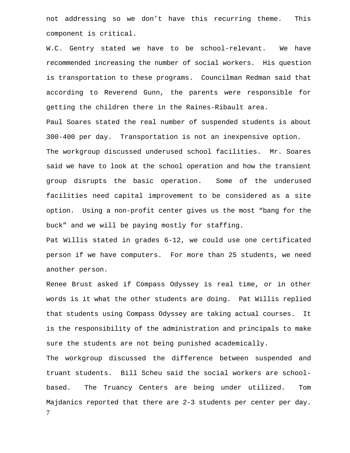not addressing so we don't have this recurring theme. This component is critical.

W.C. Gentry stated we have to be school-relevant. We have recommended increasing the number of social workers. His question is transportation to these programs. Councilman Redman said that according to Reverend Gunn, the parents were responsible for getting the children there in the Raines-Ribault area.

Paul Soares stated the real number of suspended students is about 300-400 per day. Transportation is not an inexpensive option. The workgroup discussed underused school facilities. Mr. Soares said we have to look at the school operation and how the transient group disrupts the basic operation. Some of the underused facilities need capital improvement to be considered as a site option. Using a non-profit center gives us the most "bang for the buck" and we will be paying mostly for staffing.

Pat Willis stated in grades 6-12, we could use one certificated person if we have computers. For more than 25 students, we need another person.

Renee Brust asked if Compass Odyssey is real time, or in other words is it what the other students are doing. Pat Willis replied that students using Compass Odyssey are taking actual courses. It is the responsibility of the administration and principals to make sure the students are not being punished academically.

7 The workgroup discussed the difference between suspended and truant students. Bill Scheu said the social workers are schoolbased. The Truancy Centers are being under utilized. Tom Majdanics reported that there are 2-3 students per center per day.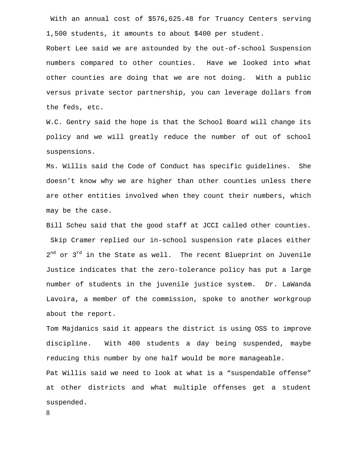With an annual cost of \$576,625.48 for Truancy Centers serving 1,500 students, it amounts to about \$400 per student.

Robert Lee said we are astounded by the out-of-school Suspension numbers compared to other counties. Have we looked into what other counties are doing that we are not doing. With a public versus private sector partnership, you can leverage dollars from the feds, etc.

W.C. Gentry said the hope is that the School Board will change its policy and we will greatly reduce the number of out of school suspensions.

Ms. Willis said the Code of Conduct has specific guidelines. She doesn't know why we are higher than other counties unless there are other entities involved when they count their numbers, which may be the case.

Bill Scheu said that the good staff at JCCI called other counties. Skip Cramer replied our in-school suspension rate places either  $2^{nd}$  or  $3^{rd}$  in the State as well. The recent Blueprint on Juvenile Justice indicates that the zero-tolerance policy has put a large number of students in the juvenile justice system. Dr. LaWanda Lavoira, a member of the commission, spoke to another workgroup about the report.

Tom Majdanics said it appears the district is using OSS to improve discipline. With 400 students a day being suspended, maybe reducing this number by one half would be more manageable. Pat Willis said we need to look at what is a "suspendable offense" at other districts and what multiple offenses get a student suspended.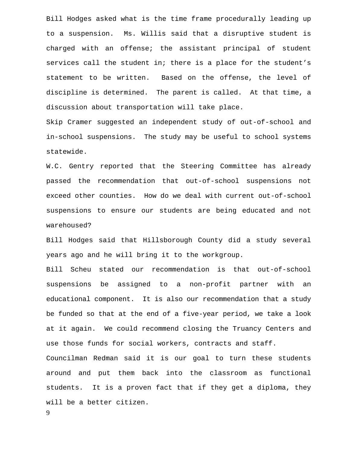Bill Hodges asked what is the time frame procedurally leading up to a suspension. Ms. Willis said that a disruptive student is charged with an offense; the assistant principal of student services call the student in; there is a place for the student's statement to be written. Based on the offense, the level of discipline is determined. The parent is called. At that time, a discussion about transportation will take place.

Skip Cramer suggested an independent study of out-of-school and in-school suspensions. The study may be useful to school systems statewide.

W.C. Gentry reported that the Steering Committee has already passed the recommendation that out-of-school suspensions not exceed other counties. How do we deal with current out-of-school suspensions to ensure our students are being educated and not warehoused?

Bill Hodges said that Hillsborough County did a study several years ago and he will bring it to the workgroup.

Bill Scheu stated our recommendation is that out-of-school suspensions be assigned to a non-profit partner with an educational component. It is also our recommendation that a study be funded so that at the end of a five-year period, we take a look at it again. We could recommend closing the Truancy Centers and use those funds for social workers, contracts and staff.

Councilman Redman said it is our goal to turn these students around and put them back into the classroom as functional students. It is a proven fact that if they get a diploma, they will be a better citizen.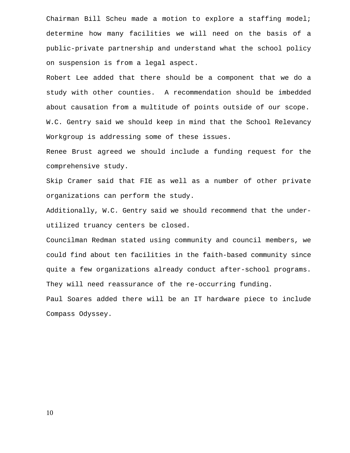Chairman Bill Scheu made a motion to explore a staffing model; determine how many facilities we will need on the basis of a public-private partnership and understand what the school policy on suspension is from a legal aspect.

Robert Lee added that there should be a component that we do a study with other counties. A recommendation should be imbedded about causation from a multitude of points outside of our scope. W.C. Gentry said we should keep in mind that the School Relevancy Workgroup is addressing some of these issues.

Renee Brust agreed we should include a funding request for the comprehensive study.

Skip Cramer said that FIE as well as a number of other private organizations can perform the study.

Additionally, W.C. Gentry said we should recommend that the underutilized truancy centers be closed.

Councilman Redman stated using community and council members, we could find about ten facilities in the faith-based community since quite a few organizations already conduct after-school programs. They will need reassurance of the re-occurring funding.

Paul Soares added there will be an IT hardware piece to include Compass Odyssey.